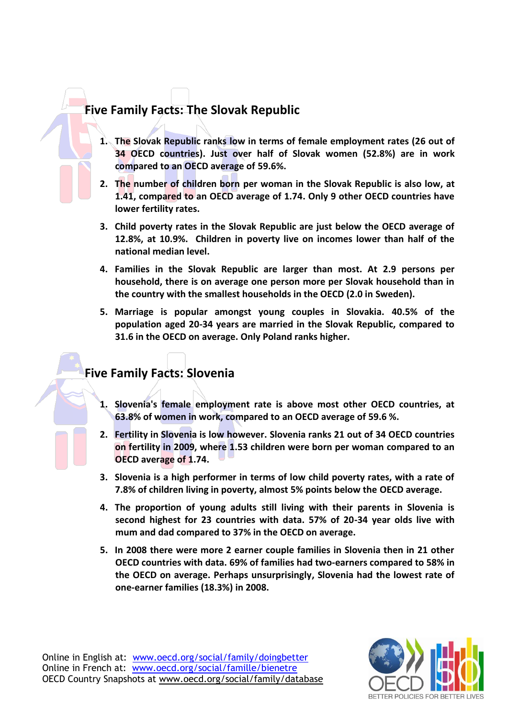# **Five Family Facts: The Slovak Republic**

- **1. The Slovak Republic ranks low in terms of female employment rates (26 out of 34 OECD countries). Just over half of Slovak women (52.8%) are in work compared to an OECD average of 59.6%.**
- **2. The number of children born per woman in the Slovak Republic is also low, at 1.41, compared to an OECD average of 1.74. Only 9 other OECD countries have lower fertility rates.**
- **3. Child poverty rates in the Slovak Republic are just below the OECD average of 12.8%, at 10.9%. Children in poverty live on incomes lower than half of the national median level.**
- **4. Families in the Slovak Republic are larger than most. At 2.9 persons per household, there is on average one person more per Slovak household than in the country with the smallest households in the OECD (2.0 in Sweden).**
- **5. Marriage is popular amongst young couples in Slovakia. 40.5% of the population aged 20-34 years are married in the Slovak Republic, compared to 31.6 in the OECD on average. Only Poland ranks higher.**

# **Five Family Facts: Slovenia**

- **1. Slovenia's female employment rate is above most other OECD countries, at 63.8% of women in work, compared to an OECD average of 59.6 %.**
- **2. Fertility in Slovenia is low however. Slovenia ranks 21 out of 34 OECD countries on fertility in 2009, where 1.53 children were born per woman compared to an OECD average of 1.74.**
- **3. Slovenia is a high performer in terms of low child poverty rates, with a rate of 7.8% of children living in poverty, almost 5% points below the OECD average.**
- **4. The proportion of young adults still living with their parents in Slovenia is second highest for 23 countries with data. 57% of 20-34 year olds live with mum and dad compared to 37% in the OECD on average.**
- **5. In 2008 there were more 2 earner couple families in Slovenia then in 21 other OECD countries with data. 69% of families had two-earners compared to 58% in the OECD on average. Perhaps unsurprisingly, Slovenia had the lowest rate of one-earner families (18.3%) in 2008.**

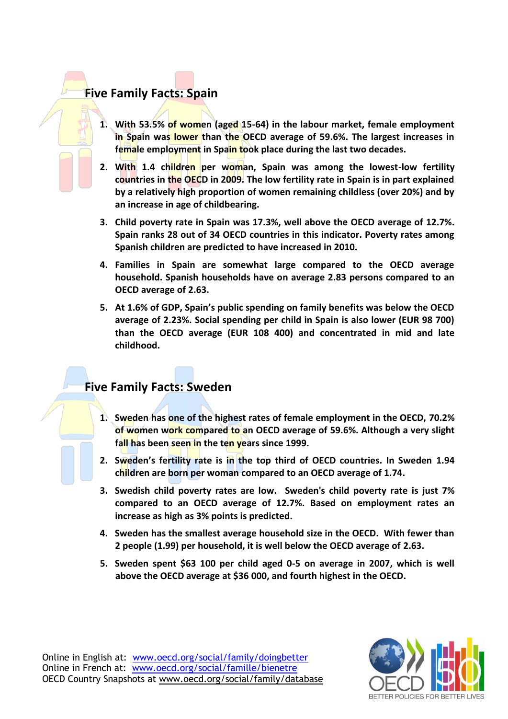### **Five Family Facts: Spain**

- **1. With 53.5% of women (aged 15-64) in the labour market, female employment in Spain was lower than the OECD average of 59.6%. The largest increases in female employment in Spain took place during the last two decades.**
- **2. With 1.4 children per woman, Spain was among the lowest-low fertility countries in the OECD in 2009. The low fertility rate in Spain is in part explained by a relatively high proportion of women remaining childless (over 20%) and by an increase in age of childbearing.**
- **3. Child poverty rate in Spain was 17.3%, well above the OECD average of 12.7%. Spain ranks 28 out of 34 OECD countries in this indicator. Poverty rates among Spanish children are predicted to have increased in 2010.**
- **4. Families in Spain are somewhat large compared to the OECD average household. Spanish households have on average 2.83 persons compared to an OECD average of 2.63.**
- **5. At 1.6% of GDP, Spain's public spending on family benefits was below the OECD average of 2.23%. Social spending per child in Spain is also lower (EUR 98 700) than the OECD average (EUR 108 400) and concentrated in mid and late childhood.**

# **Five Family Facts: Sweden**

- **1. Sweden has one of the highest rates of female employment in the OECD, 70.2% of women work compared to an OECD average of 59.6%. Although a very slight fall has been seen in the ten years since 1999.**
- **2. Sweden's fertility rate is in the top third of OECD countries. In Sweden 1.94 children are born per woman compared to an OECD average of 1.74.**
- **3. Swedish child poverty rates are low. Sweden's child poverty rate is just 7% compared to an OECD average of 12.7%. Based on employment rates an increase as high as 3% points is predicted.**
- **4. Sweden has the smallest average household size in the OECD. With fewer than 2 people (1.99) per household, it is well below the OECD average of 2.63.**
- **5. Sweden spent \$63 100 per child aged 0-5 on average in 2007, which is well above the OECD average at \$36 000, and fourth highest in the OECD.**

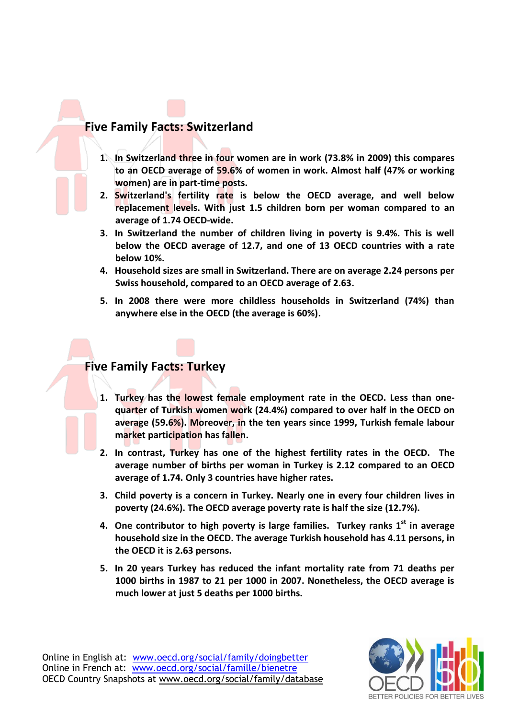#### **Five Family Facts: Switzerland**

- **1. In Switzerland three in four women are in work (73.8% in 2009) this compares to an OECD average of 59.6% of women in work. Almost half (47% or working women) are in part-time posts.**
- **2. Switzerland's fertility rate is below the OECD average, and well below replacement levels. With just 1.5 children born per woman compared to an average of 1.74 OECD-wide.**
- **3. In Switzerland the number of children living in poverty is 9.4%. This is well below the OECD average of 12.7, and one of 13 OECD countries with a rate below 10%.**
- **4. Household sizes are small in Switzerland. There are on average 2.24 persons per Swiss household, compared to an OECD average of 2.63.**
- **5. In 2008 there were more childless households in Switzerland (74%) than anywhere else in the OECD (the average is 60%).**

### **Five Family Facts: Turkey**

- **1. Turkey has the lowest female employment rate in the OECD. Less than onequarter of Turkish women work (24.4%) compared to over half in the OECD on average (59.6%). Moreover, in the ten years since 1999, Turkish female labour market participation has fallen.**
- **2. In contrast, Turkey has one of the highest fertility rates in the OECD. The average number of births per woman in Turkey is 2.12 compared to an OECD average of 1.74. Only 3 countries have higher rates.**
- **3. Child poverty is a concern in Turkey. Nearly one in every four children lives in poverty (24.6%). The OECD average poverty rate is half the size (12.7%).**
- **4. One contributor to high poverty is large families. Turkey ranks 1 st in average household size in the OECD. The average Turkish household has 4.11 persons, in the OECD it is 2.63 persons.**
- **5. In 20 years Turkey has reduced the infant mortality rate from 71 deaths per 1000 births in 1987 to 21 per 1000 in 2007. Nonetheless, the OECD average is much lower at just 5 deaths per 1000 births.**